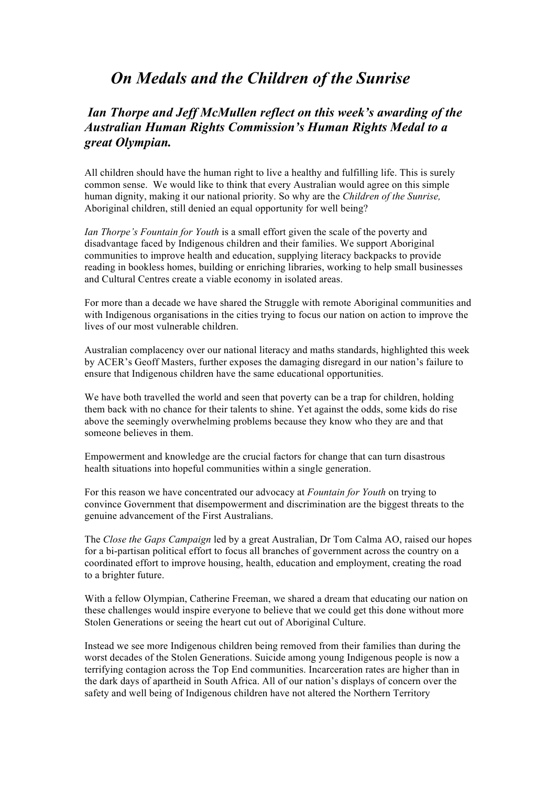## *On Medals and the Children of the Sunrise*

## *Ian Thorpe and Jeff McMullen reflect on this week's awarding of the Australian Human Rights Commission's Human Rights Medal to a great Olympian.*

All children should have the human right to live a healthy and fulfilling life. This is surely common sense. We would like to think that every Australian would agree on this simple human dignity, making it our national priority. So why are the *Children of the Sunrise,*  Aboriginal children, still denied an equal opportunity for well being?

*Ian Thorpe's Fountain for Youth* is a small effort given the scale of the poverty and disadvantage faced by Indigenous children and their families. We support Aboriginal communities to improve health and education, supplying literacy backpacks to provide reading in bookless homes, building or enriching libraries, working to help small businesses and Cultural Centres create a viable economy in isolated areas.

For more than a decade we have shared the Struggle with remote Aboriginal communities and with Indigenous organisations in the cities trying to focus our nation on action to improve the lives of our most vulnerable children.

Australian complacency over our national literacy and maths standards, highlighted this week by ACER's Geoff Masters, further exposes the damaging disregard in our nation's failure to ensure that Indigenous children have the same educational opportunities.

We have both travelled the world and seen that poverty can be a trap for children, holding them back with no chance for their talents to shine. Yet against the odds, some kids do rise above the seemingly overwhelming problems because they know who they are and that someone believes in them.

Empowerment and knowledge are the crucial factors for change that can turn disastrous health situations into hopeful communities within a single generation.

For this reason we have concentrated our advocacy at *Fountain for Youth* on trying to convince Government that disempowerment and discrimination are the biggest threats to the genuine advancement of the First Australians.

The *Close the Gaps Campaign* led by a great Australian, Dr Tom Calma AO, raised our hopes for a bi-partisan political effort to focus all branches of government across the country on a coordinated effort to improve housing, health, education and employment, creating the road to a brighter future.

With a fellow Olympian, Catherine Freeman, we shared a dream that educating our nation on these challenges would inspire everyone to believe that we could get this done without more Stolen Generations or seeing the heart cut out of Aboriginal Culture.

Instead we see more Indigenous children being removed from their families than during the worst decades of the Stolen Generations. Suicide among young Indigenous people is now a terrifying contagion across the Top End communities. Incarceration rates are higher than in the dark days of apartheid in South Africa. All of our nation's displays of concern over the safety and well being of Indigenous children have not altered the Northern Territory